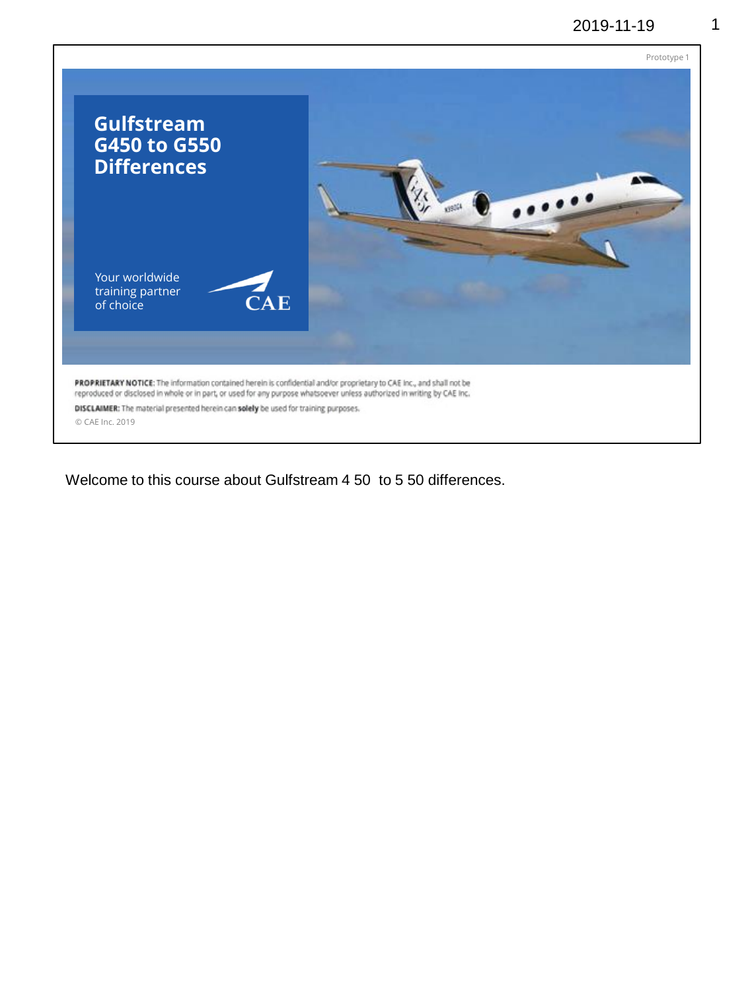

Welcome to this course about Gulfstream 4 50 to 5 50 differences.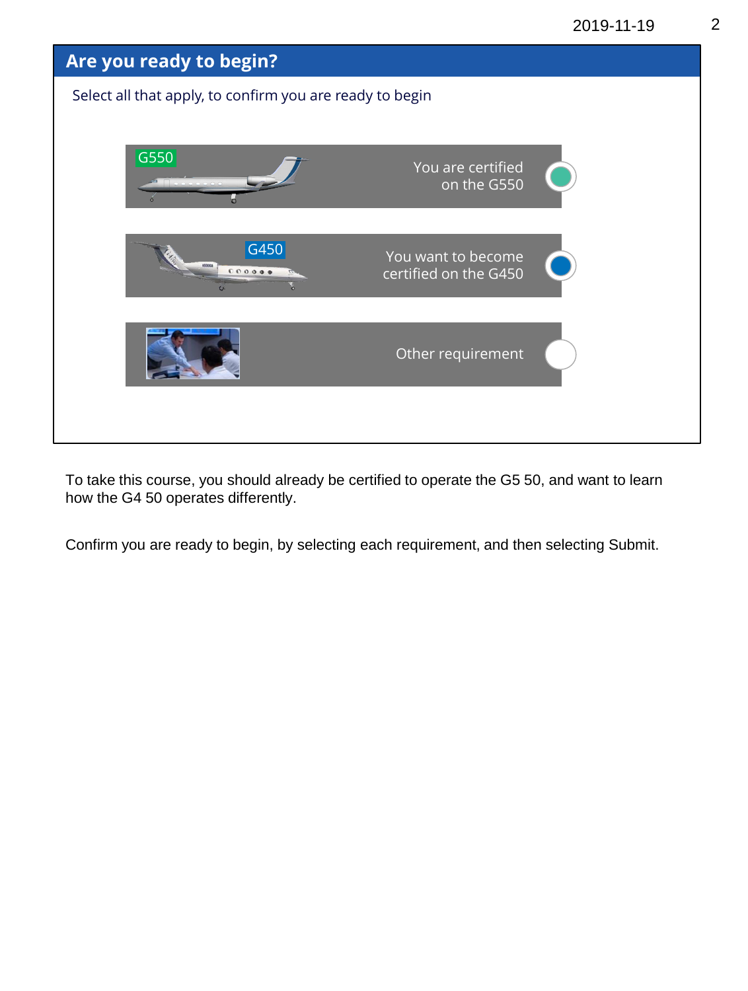2019-11-19 2



To take this course, you should already be certified to operate the G5 50, and want to learn how the G4 50 operates differently.

Confirm you are ready to begin, by selecting each requirement, and then selecting Submit.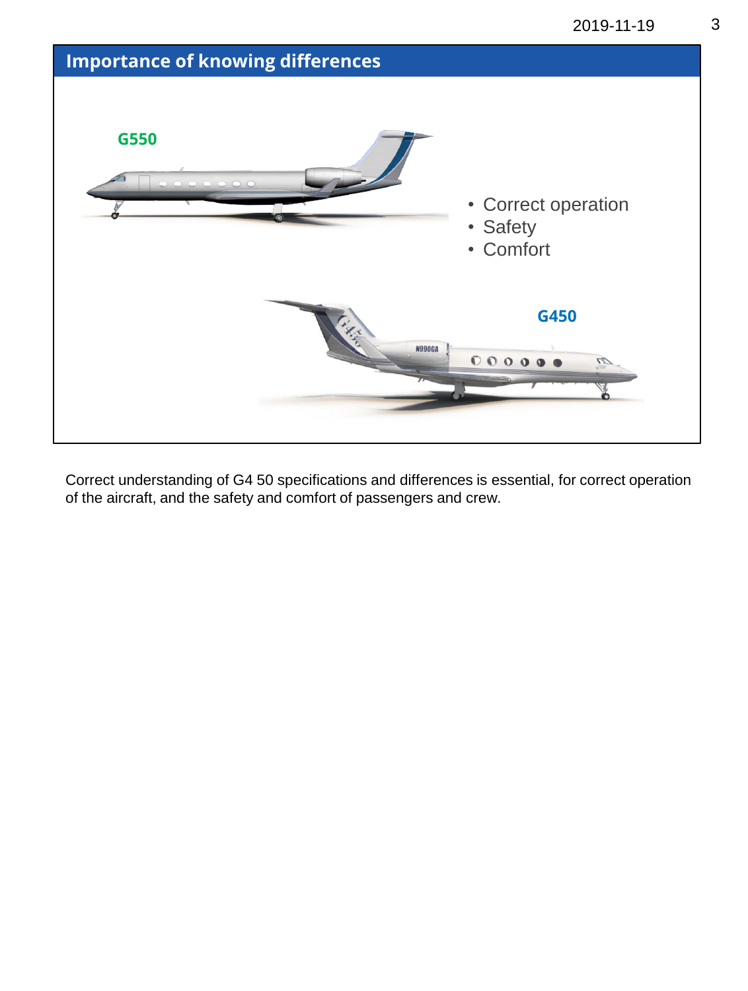



Correct understanding of G4 50 specifications and differences is essential, for correct operation of the aircraft, and the safety and comfort of passengers and crew.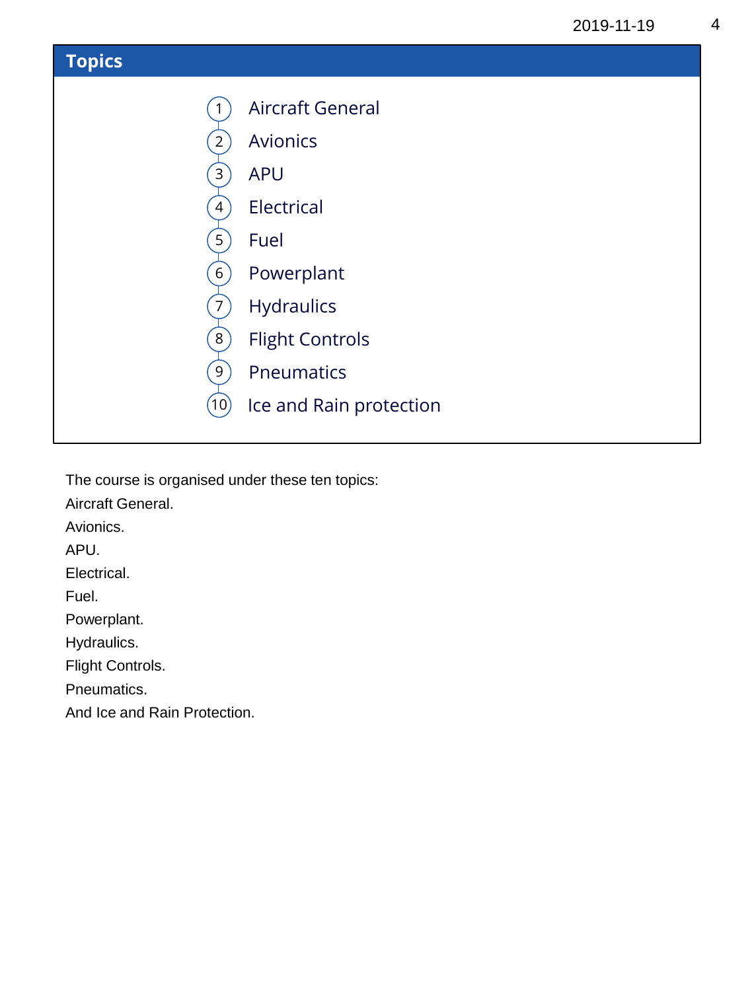

The course is organised under these ten topics:

Aircraft General.

Avionics.

APU.

Electrical.

Fuel.

Powerplant.

Hydraulics.

Flight Controls.

Pneumatics.

And Ice and Rain Protection.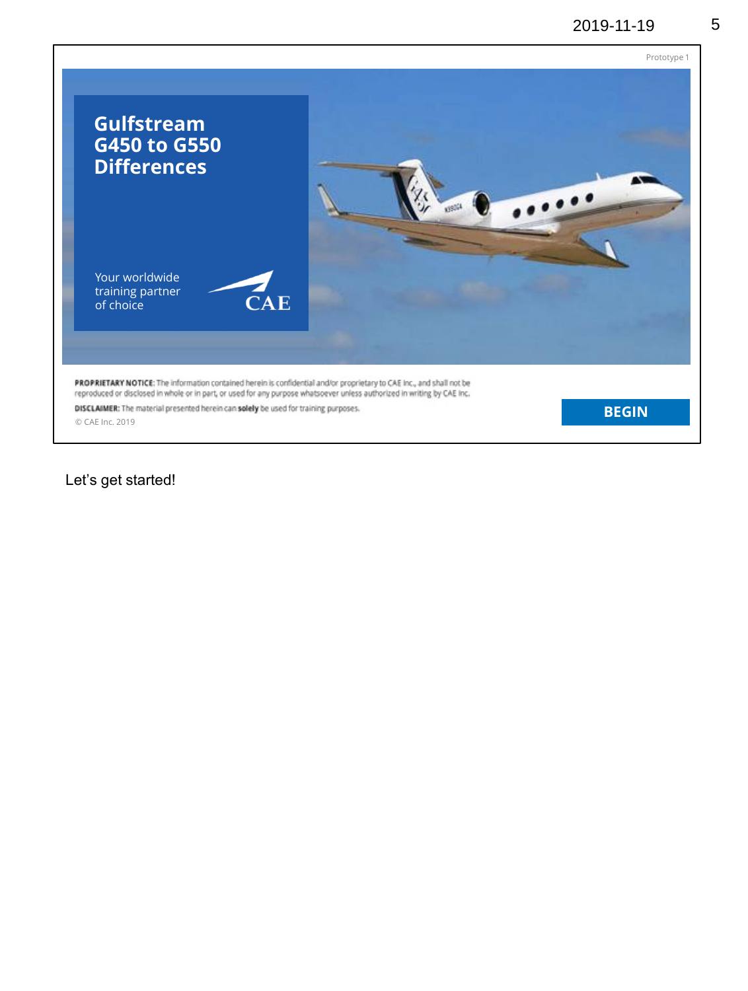

Let's get started!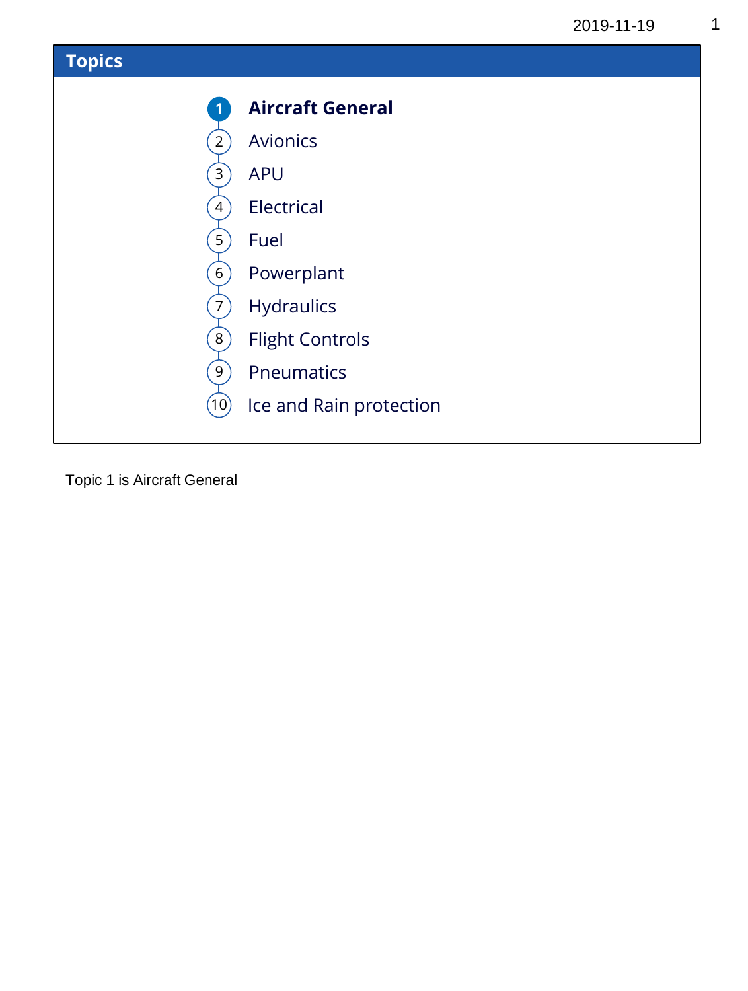

Topic 1 is Aircraft General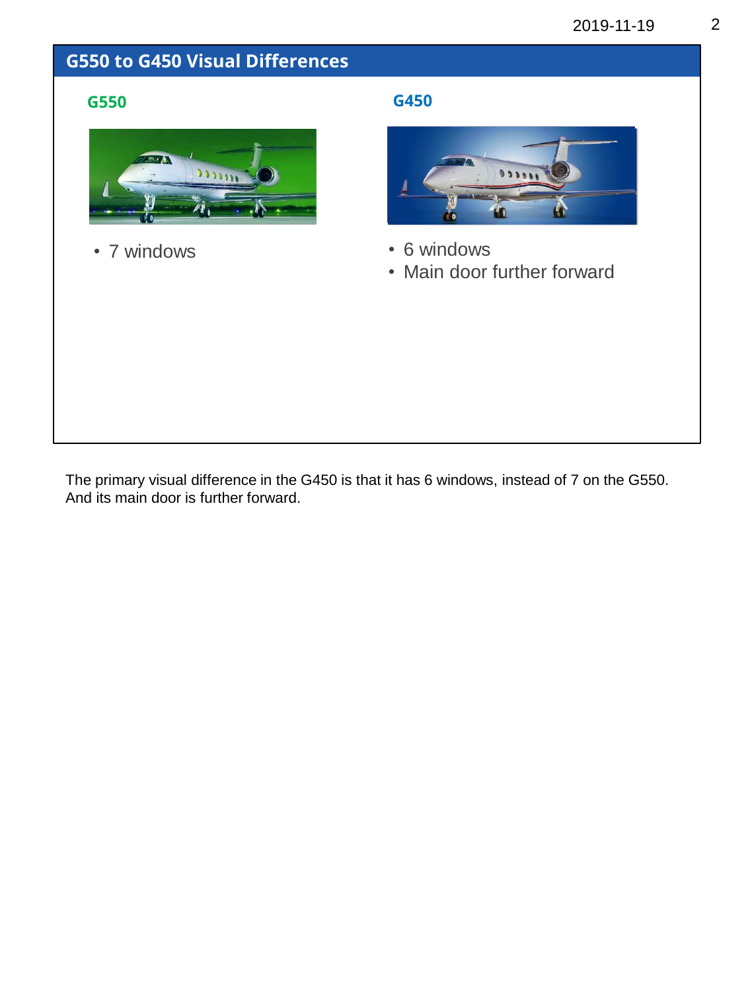#### **G550 to G450 Visual Differences**



• 7 windows

#### **G550 G450**



- 6 windows
- Main door further forward

The primary visual difference in the G450 is that it has 6 windows, instead of 7 on the G550. And its main door is further forward.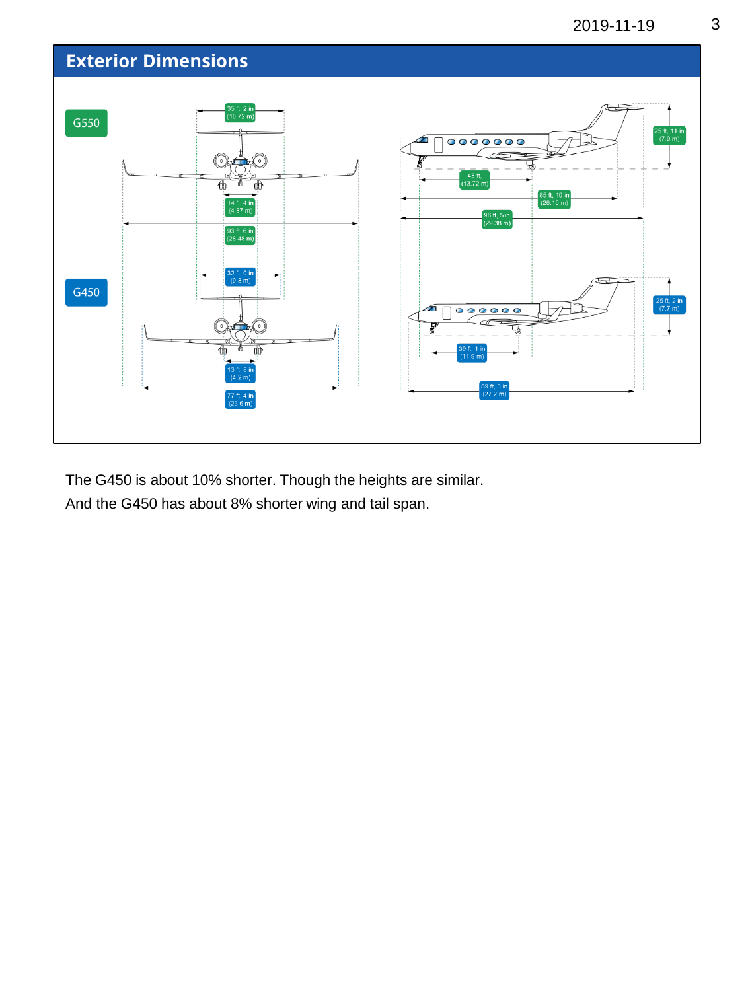

The G450 is about 10% shorter. Though the heights are similar. And the G450 has about 8% shorter wing and tail span.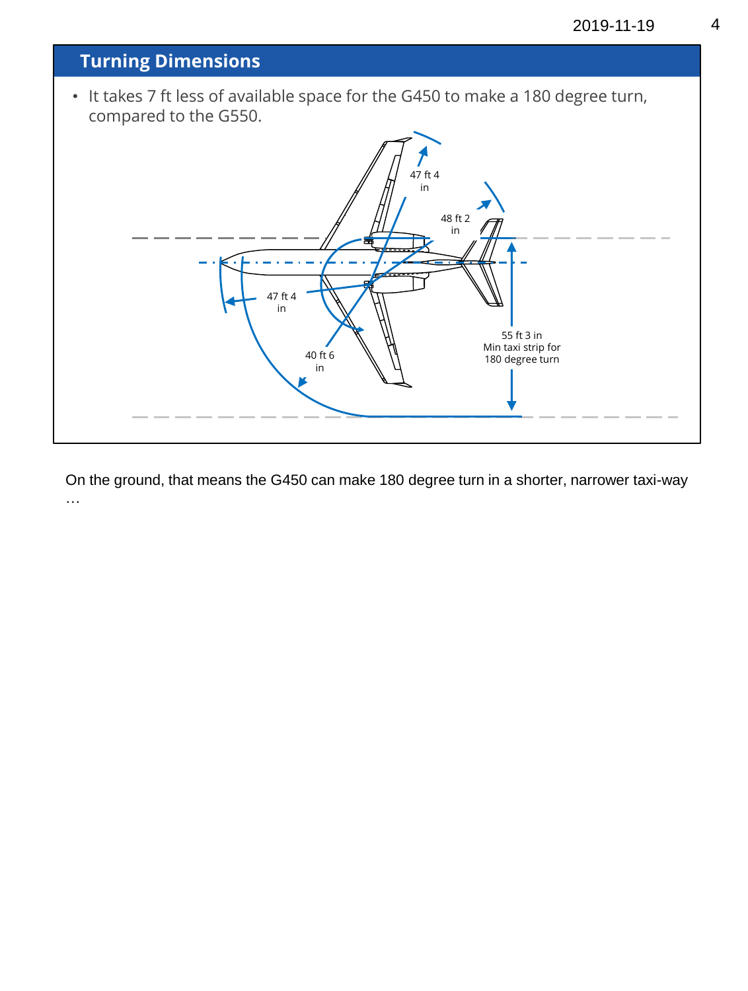

On the ground, that means the G450 can make 180 degree turn in a shorter, narrower taxi-way …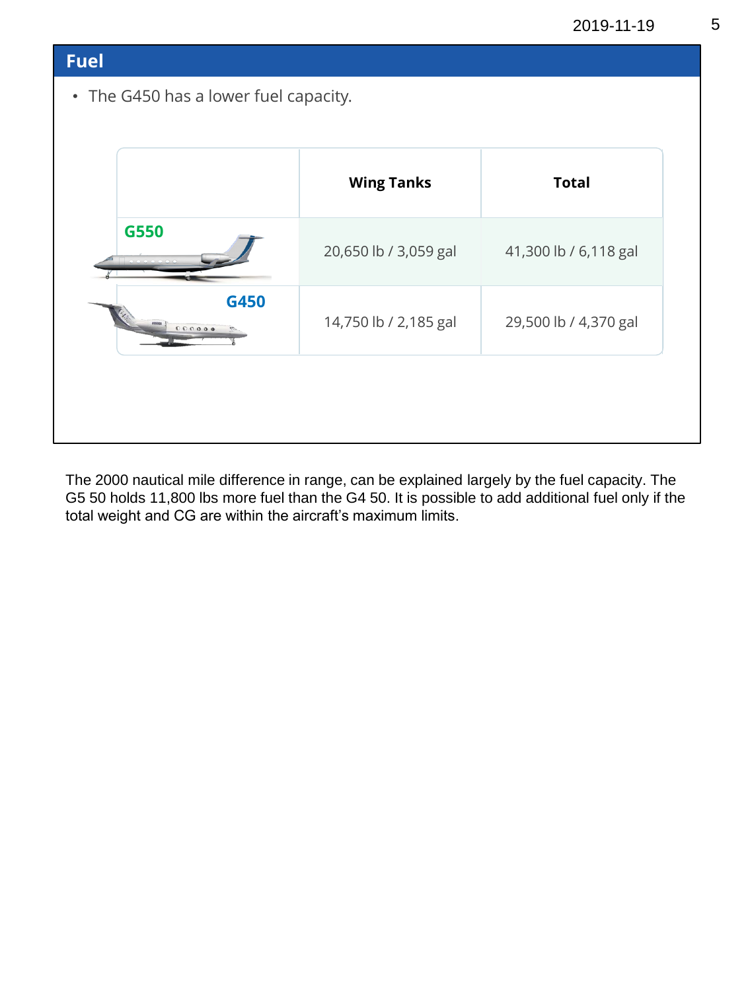#### **Fuel**

• The G450 has a lower fuel capacity.

|                          | <b>Wing Tanks</b>     | <b>Total</b>          |
|--------------------------|-----------------------|-----------------------|
| G550                     | 20,650 lb / 3,059 gal | 41,300 lb / 6,118 gal |
| G450<br>119062<br>000000 | 14,750 lb / 2,185 gal | 29,500 lb / 4,370 gal |

The 2000 nautical mile difference in range, can be explained largely by the fuel capacity. The G5 50 holds 11,800 lbs more fuel than the G4 50. It is possible to add additional fuel only if the total weight and CG are within the aircraft's maximum limits.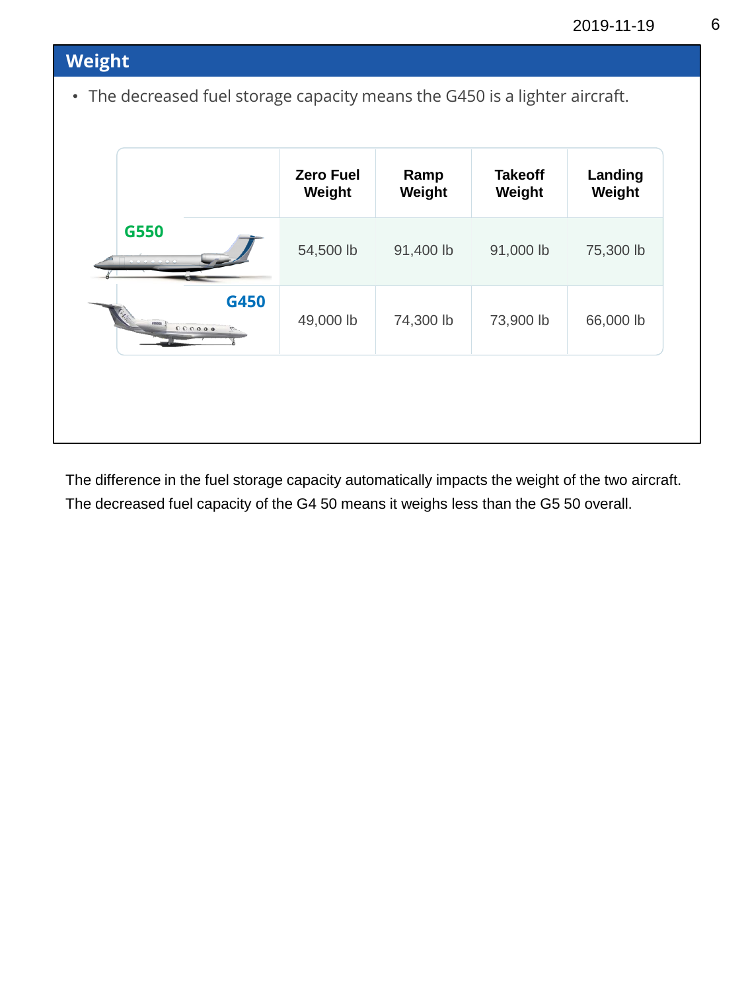|        |      | <b>Zero Fuel</b> | Ramp      | <b>Takeoff</b> | Landing   |
|--------|------|------------------|-----------|----------------|-----------|
|        |      | Weight           | Weight    | Weight         | Weight    |
| G550   |      | 54,500 lb        | 91,400 lb | 91,000 lb      | 75,300 lb |
| 000000 | G450 | 49,000 lb        | 74,300 lb | 73,900 lb      | 66,000 lb |

The difference in the fuel storage capacity automatically impacts the weight of the two aircraft. The decreased fuel capacity of the G4 50 means it weighs less than the G5 50 overall.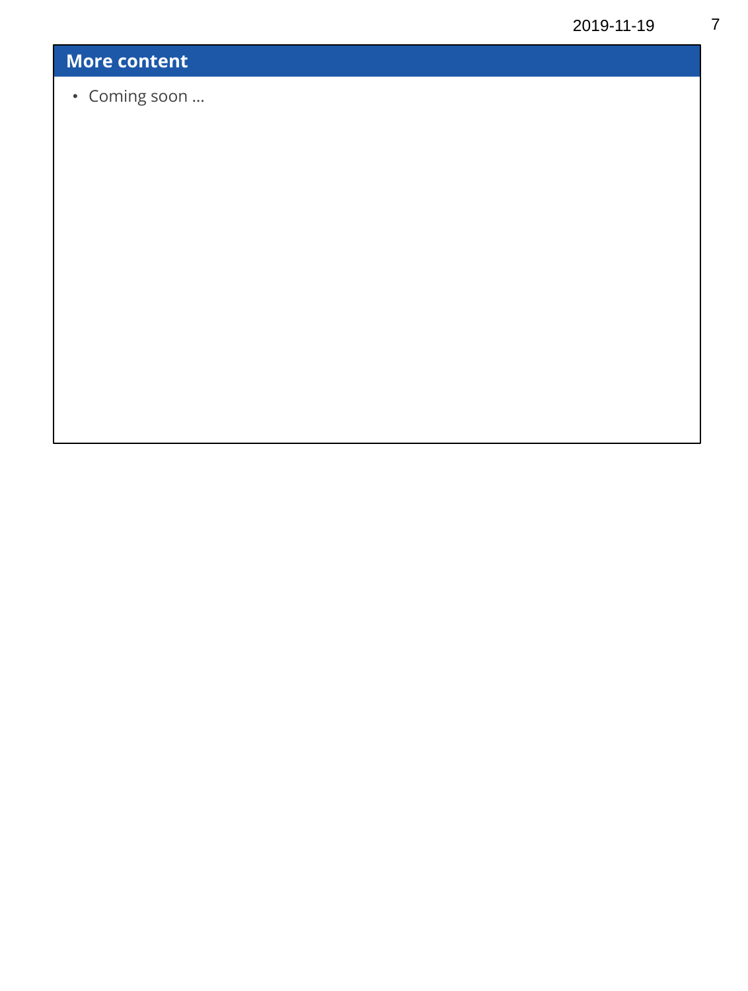## **More content**

• Coming soon …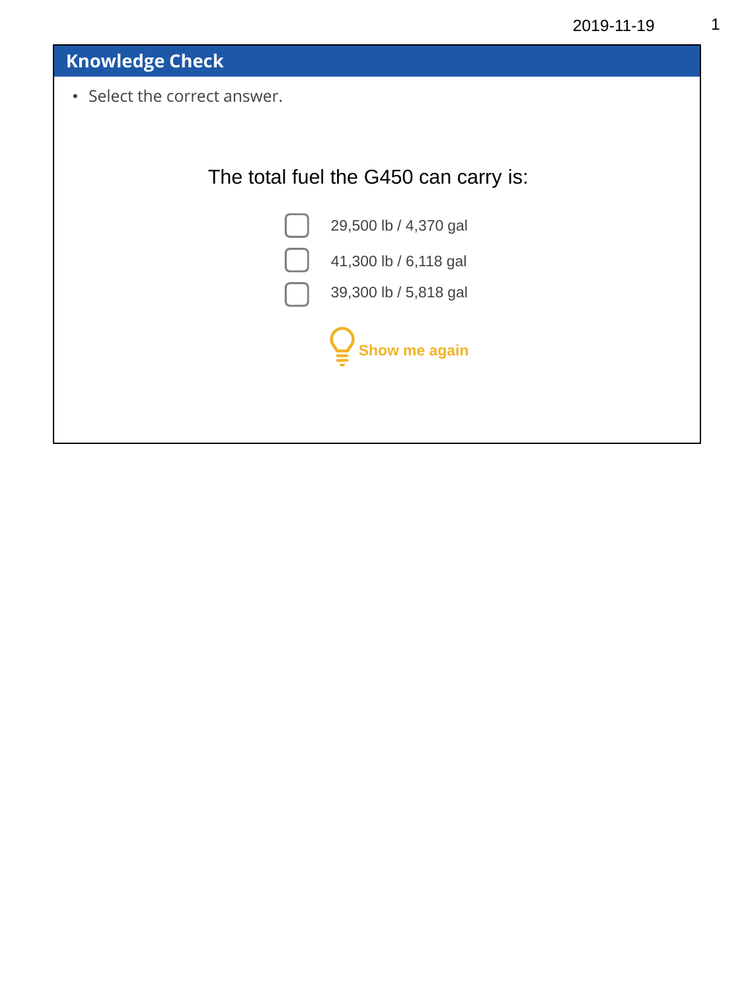**Knowledge Check**

• Select the correct answer.

## The total fuel the G450 can carry is:



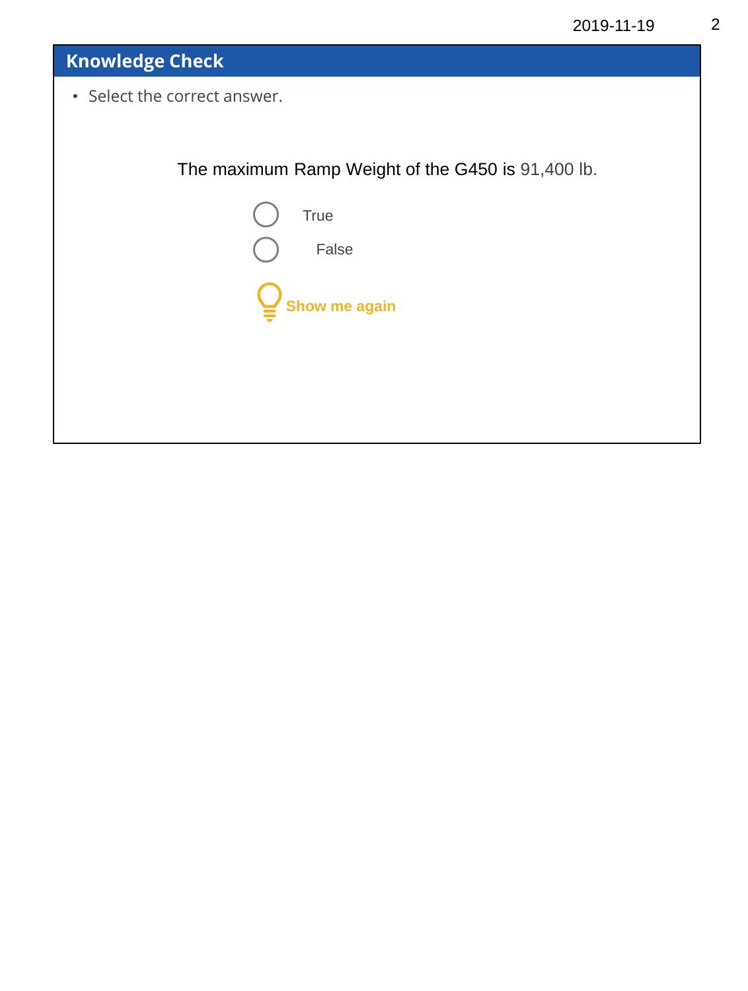# **Knowledge Check** • Select the correct answer. The maximum Ramp Weight of the G450 is 91,400 lb. True False **Show me again**